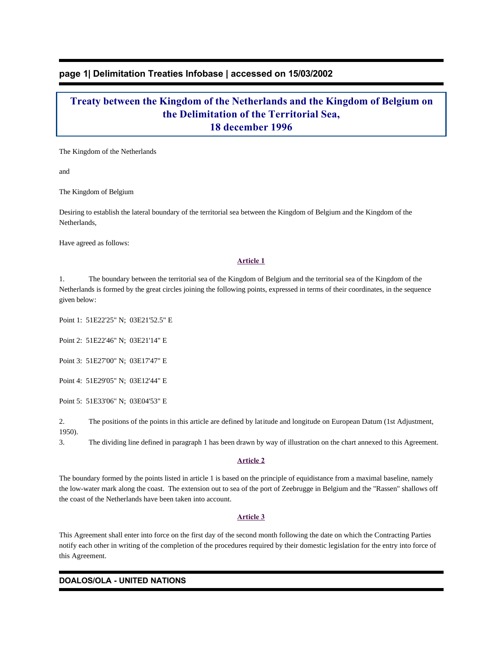## **page 1| Delimitation Treaties Infobase | accessed on 15/03/2002**

# **Treaty between the Kingdom of the Netherlands and the Kingdom of Belgium on the Delimitation of the Territorial Sea, 18 december 1996**

The Kingdom of the Netherlands

and

The Kingdom of Belgium

Desiring to establish the lateral boundary of the territorial sea between the Kingdom of Belgium and the Kingdom of the Netherlands,

Have agreed as follows:

#### **Article 1**

1. The boundary between the territorial sea of the Kingdom of Belgium and the territorial sea of the Kingdom of the Netherlands is formed by the great circles joining the following points, expressed in terms of their coordinates, in the sequence given below:

Point 1: 51E22'25" N; 03E21'52.5" E

Point 2: 51E22'46" N; 03E21'14" E

Point 3: 51E27'00" N; 03E17'47" E

Point 4: 51E29'05" N; 03E12'44" E

Point 5: 51E33'06" N; 03E04'53" E

2. The positions of the points in this article are defined by latitude and longitude on European Datum (1st Adjustment, 1950).

3. The dividing line defined in paragraph 1 has been drawn by way of illustration on the chart annexed to this Agreement.

#### **Article 2**

The boundary formed by the points listed in article 1 is based on the principle of equidistance from a maximal baseline, namely the low-water mark along the coast. The extension out to sea of the port of Zeebrugge in Belgium and the "Rassen" shallows off the coast of the Netherlands have been taken into account.

#### **Article 3**

This Agreement shall enter into force on the first day of the second month following the date on which the Contracting Parties notify each other in writing of the completion of the procedures required by their domestic legislation for the entry into force of this Agreement.

### **DOALOS/OLA - UNITED NATIONS**